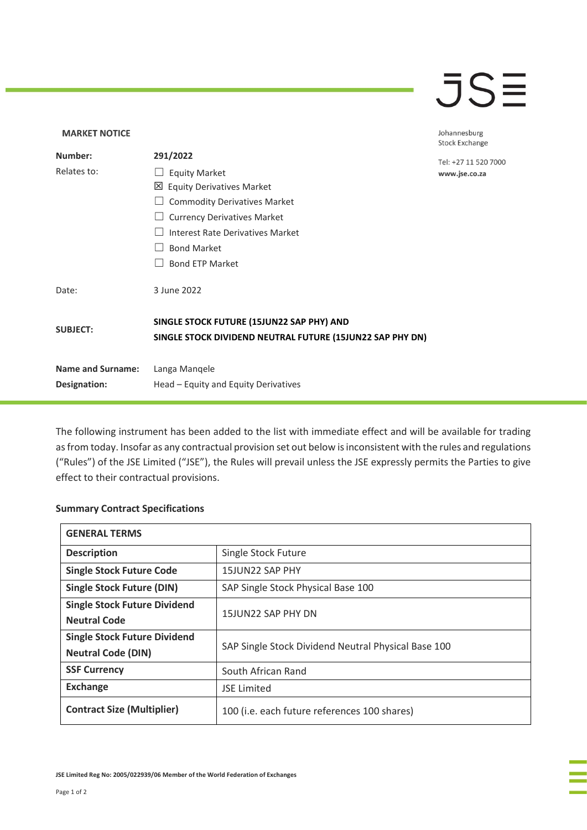## $\overline{\mathsf{J}}\mathsf{S}\overline{\mathsf{H}}$

## **MARKET NOTICE** Johannesburg **Stock Exchange Number: 291/2022** Tel: +27 11 520 7000 Relates to: □ Equity Market www.jse.co.za Equity Derivatives Market ☐ Commodity Derivatives Market □ Currency Derivatives Market ☐ Interest Rate Derivatives Market ☐ Bond Market □ Bond ETP Market Date: 3 June 2022 **SINGLE STOCK FUTURE (15JUN22 SAP PHY) AND SUBJECT: SINGLE STOCK DIVIDEND NEUTRAL FUTURE (15JUN22 SAP PHY DN) Name and Surname:** Langa Manqele **Designation:** Head – Equity and Equity Derivatives

The following instrument has been added to the list with immediate effect and will be available for trading as from today. Insofar as any contractual provision set out below is inconsistent with the rules and regulations ("Rules") of the JSE Limited ("JSE"), the Rules will prevail unless the JSE expressly permits the Parties to give effect to their contractual provisions.

## **Summary Contract Specifications**

| <b>GENERAL TERMS</b>                |                                                     |
|-------------------------------------|-----------------------------------------------------|
| <b>Description</b>                  | Single Stock Future                                 |
| <b>Single Stock Future Code</b>     | 15JUN22 SAP PHY                                     |
| <b>Single Stock Future (DIN)</b>    | SAP Single Stock Physical Base 100                  |
| <b>Single Stock Future Dividend</b> | 15JUN22 SAP PHY DN                                  |
| <b>Neutral Code</b>                 |                                                     |
| <b>Single Stock Future Dividend</b> | SAP Single Stock Dividend Neutral Physical Base 100 |
| <b>Neutral Code (DIN)</b>           |                                                     |
| <b>SSF Currency</b>                 | South African Rand                                  |
| <b>Exchange</b>                     | <b>JSE Limited</b>                                  |
| <b>Contract Size (Multiplier)</b>   | 100 (i.e. each future references 100 shares)        |